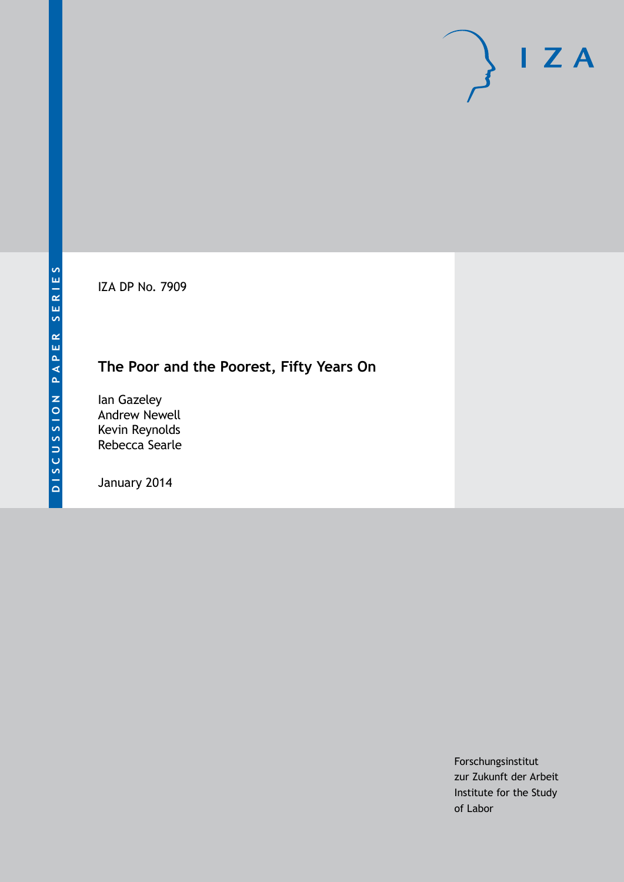IZA DP No. 7909

# **The Poor and the Poorest, Fifty Years On**

Ian Gazeley Andrew Newell Kevin Reynolds Rebecca Searle

January 2014

Forschungsinstitut zur Zukunft der Arbeit Institute for the Study of Labor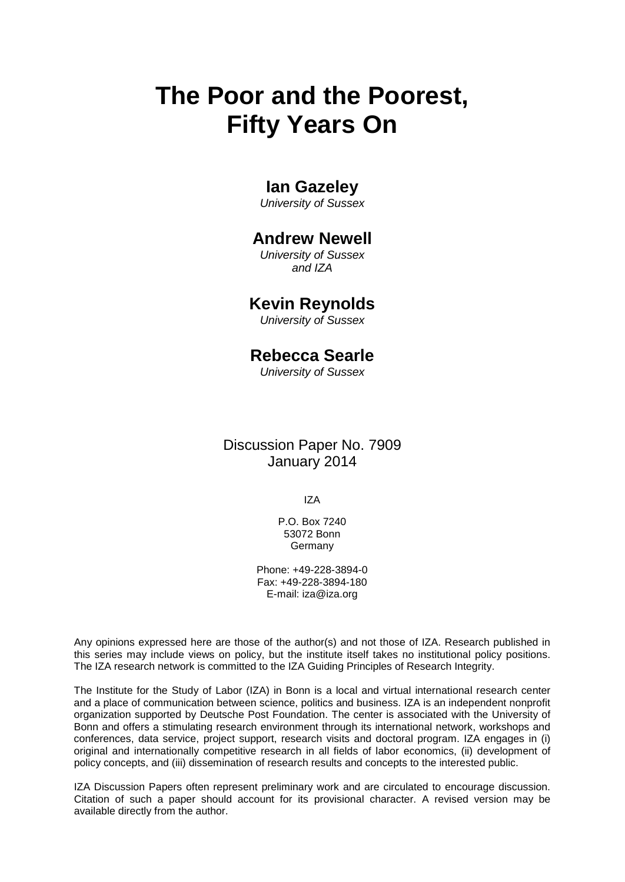# **The Poor and the Poorest, Fifty Years On**

# **Ian Gazeley**

*University of Sussex*

## **Andrew Newell**

*University of Sussex and IZA*

### **Kevin Reynolds**

*University of Sussex*

## **Rebecca Searle**

*University of Sussex*

### Discussion Paper No. 7909 January 2014

IZA

P.O. Box 7240 53072 Bonn Germany

Phone: +49-228-3894-0 Fax: +49-228-3894-180 E-mail: [iza@iza.org](mailto:iza@iza.org)

Any opinions expressed here are those of the author(s) and not those of IZA. Research published in this series may include views on policy, but the institute itself takes no institutional policy positions. The IZA research network is committed to the IZA Guiding Principles of Research Integrity.

The Institute for the Study of Labor (IZA) in Bonn is a local and virtual international research center and a place of communication between science, politics and business. IZA is an independent nonprofit organization supported by Deutsche Post Foundation. The center is associated with the University of Bonn and offers a stimulating research environment through its international network, workshops and conferences, data service, project support, research visits and doctoral program. IZA engages in (i) original and internationally competitive research in all fields of labor economics, (ii) development of policy concepts, and (iii) dissemination of research results and concepts to the interested public.

IZA Discussion Papers often represent preliminary work and are circulated to encourage discussion. Citation of such a paper should account for its provisional character. A revised version may be available directly from the author.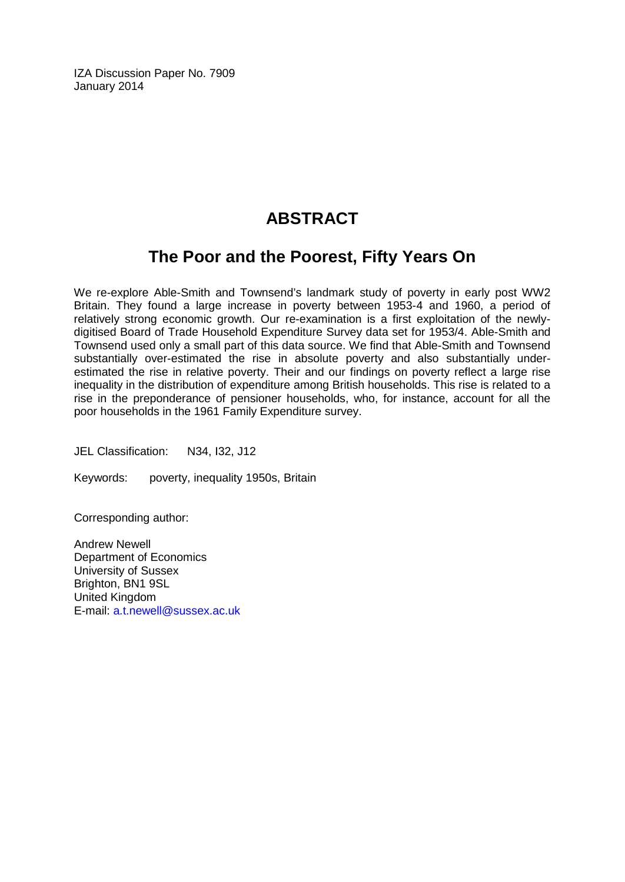IZA Discussion Paper No. 7909 January 2014

# **ABSTRACT**

# **The Poor and the Poorest, Fifty Years On**

We re-explore Able-Smith and Townsend's landmark study of poverty in early post WW2 Britain. They found a large increase in poverty between 1953-4 and 1960, a period of relatively strong economic growth. Our re-examination is a first exploitation of the newlydigitised Board of Trade Household Expenditure Survey data set for 1953/4. Able-Smith and Townsend used only a small part of this data source. We find that Able-Smith and Townsend substantially over-estimated the rise in absolute poverty and also substantially underestimated the rise in relative poverty. Their and our findings on poverty reflect a large rise inequality in the distribution of expenditure among British households. This rise is related to a rise in the preponderance of pensioner households, who, for instance, account for all the poor households in the 1961 Family Expenditure survey.

JEL Classification: N34, I32, J12

Keywords: poverty, inequality 1950s, Britain

Corresponding author:

Andrew Newell Department of Economics University of Sussex Brighton, BN1 9SL United Kingdom E-mail: [a.t.newell@sussex.ac.uk](mailto:a.t.newell@sussex.ac.uk)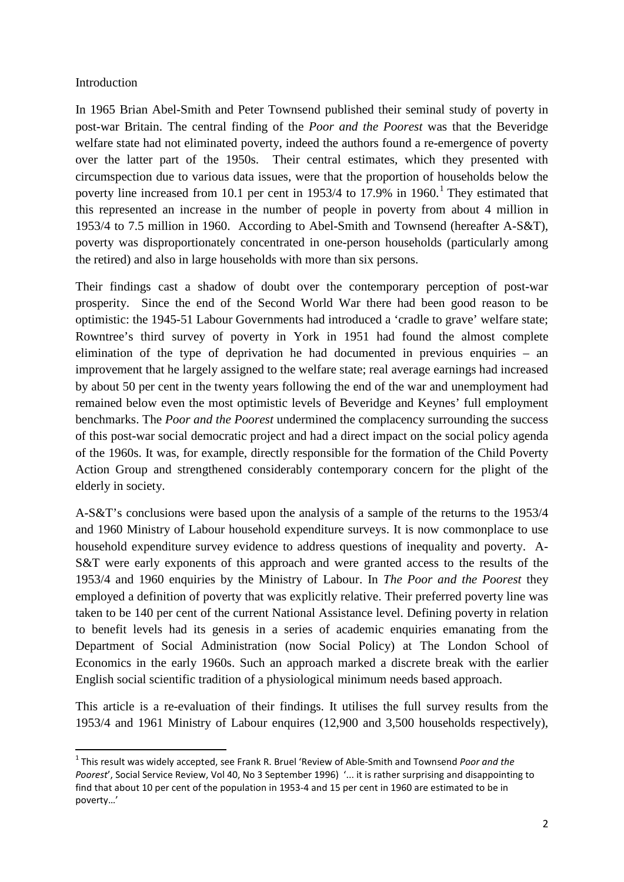#### Introduction

In 1965 Brian Abel-Smith and Peter Townsend published their seminal study of poverty in post-war Britain. The central finding of the *Poor and the Poorest* was that the Beveridge welfare state had not eliminated poverty, indeed the authors found a re-emergence of poverty over the latter part of the 1950s. Their central estimates, which they presented with circumspection due to various data issues, were that the proportion of households below the poverty line increased from [1](#page-31-0)0.1 per cent in  $1953/4$  to  $17.9\%$  in  $1960$ .<sup>1</sup> They estimated that this represented an increase in the number of people in poverty from about 4 million in 1953/4 to 7.5 million in 1960. According to Abel-Smith and Townsend (hereafter A-S&T), poverty was disproportionately concentrated in one-person households (particularly among the retired) and also in large households with more than six persons.

Their findings cast a shadow of doubt over the contemporary perception of post-war prosperity. Since the end of the Second World War there had been good reason to be optimistic: the 1945-51 Labour Governments had introduced a 'cradle to grave' welfare state; Rowntree's third survey of poverty in York in 1951 had found the almost complete elimination of the type of deprivation he had documented in previous enquiries – an improvement that he largely assigned to the welfare state; real average earnings had increased by about 50 per cent in the twenty years following the end of the war and unemployment had remained below even the most optimistic levels of Beveridge and Keynes' full employment benchmarks. The *Poor and the Poorest* undermined the complacency surrounding the success of this post-war social democratic project and had a direct impact on the social policy agenda of the 1960s. It was, for example, directly responsible for the formation of the Child Poverty Action Group and strengthened considerably contemporary concern for the plight of the elderly in society.

A-S&T's conclusions were based upon the analysis of a sample of the returns to the 1953/4 and 1960 Ministry of Labour household expenditure surveys. It is now commonplace to use household expenditure survey evidence to address questions of inequality and poverty. A-S&T were early exponents of this approach and were granted access to the results of the 1953/4 and 1960 enquiries by the Ministry of Labour. In *The Poor and the Poorest* they employed a definition of poverty that was explicitly relative. Their preferred poverty line was taken to be 140 per cent of the current National Assistance level. Defining poverty in relation to benefit levels had its genesis in a series of academic enquiries emanating from the Department of Social Administration (now Social Policy) at The London School of Economics in the early 1960s. Such an approach marked a discrete break with the earlier English social scientific tradition of a physiological minimum needs based approach.

This article is a re-evaluation of their findings. It utilises the full survey results from the 1953/4 and 1961 Ministry of Labour enquires (12,900 and 3,500 households respectively),

<span id="page-3-0"></span> <sup>1</sup> This result was widely accepted, see Frank R. Bruel 'Review of Able-Smith and Townsend *Poor and the Poorest*', Social Service Review, Vol 40, No 3 September 1996) '... it is rather surprising and disappointing to find that about 10 per cent of the population in 1953-4 and 15 per cent in 1960 are estimated to be in poverty…'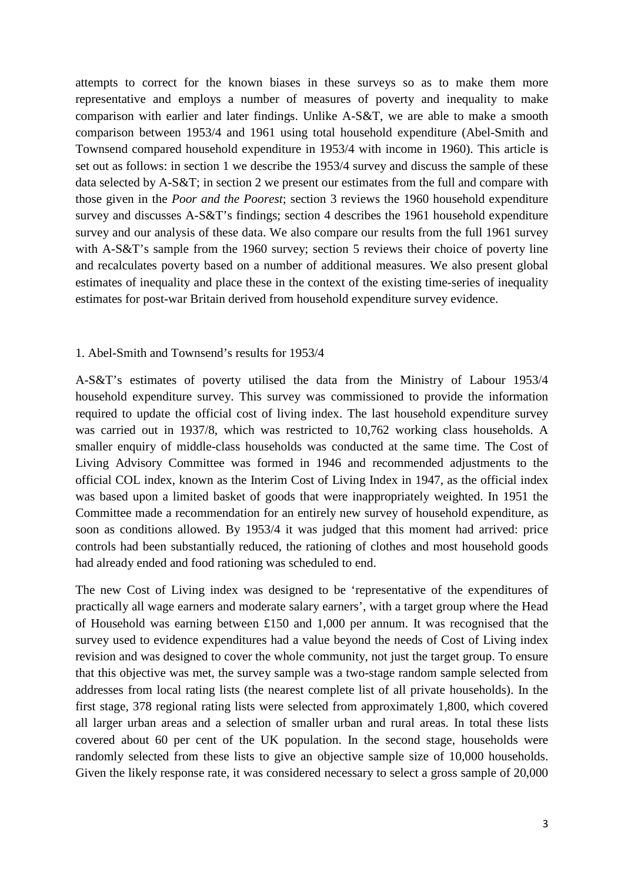attempts to correct for the known biases in these surveys so as to make them more representative and employs a number of measures of poverty and inequality to make comparison with earlier and later findings. Unlike A-S&T, we are able to make a smooth comparison between 1953/4 and 1961 using total household expenditure (Abel-Smith and Townsend compared household expenditure in 1953/4 with income in 1960). This article is set out as follows: in section 1 we describe the 1953/4 survey and discuss the sample of these data selected by A-S&T; in section 2 we present our estimates from the full and compare with those given in the *Poor and the Poorest*; section 3 reviews the 1960 household expenditure survey and discusses A-S&T's findings; section 4 describes the 1961 household expenditure survey and our analysis of these data. We also compare our results from the full 1961 survey with A-S&T's sample from the 1960 survey; section 5 reviews their choice of poverty line and recalculates poverty based on a number of additional measures. We also present global estimates of inequality and place these in the context of the existing time-series of inequality estimates for post-war Britain derived from household expenditure survey evidence.

#### 1. Abel-Smith and Townsend's results for 1953/4

A-S&T's estimates of poverty utilised the data from the Ministry of Labour 1953/4 household expenditure survey. This survey was commissioned to provide the information required to update the official cost of living index. The last household expenditure survey was carried out in 1937/8, which was restricted to 10,762 working class households. A smaller enquiry of middle-class households was conducted at the same time. The Cost of Living Advisory Committee was formed in 1946 and recommended adjustments to the official COL index, known as the Interim Cost of Living Index in 1947, as the official index was based upon a limited basket of goods that were inappropriately weighted. In 1951 the Committee made a recommendation for an entirely new survey of household expenditure, as soon as conditions allowed. By 1953/4 it was judged that this moment had arrived: price controls had been substantially reduced, the rationing of clothes and most household goods had already ended and food rationing was scheduled to end.

The new Cost of Living index was designed to be 'representative of the expenditures of practically all wage earners and moderate salary earners', with a target group where the Head of Household was earning between £150 and 1,000 per annum. It was recognised that the survey used to evidence expenditures had a value beyond the needs of Cost of Living index revision and was designed to cover the whole community, not just the target group. To ensure that this objective was met, the survey sample was a two-stage random sample selected from addresses from local rating lists (the nearest complete list of all private households). In the first stage, 378 regional rating lists were selected from approximately 1,800, which covered all larger urban areas and a selection of smaller urban and rural areas. In total these lists covered about 60 per cent of the UK population. In the second stage, households were randomly selected from these lists to give an objective sample size of 10,000 households. Given the likely response rate, it was considered necessary to select a gross sample of 20,000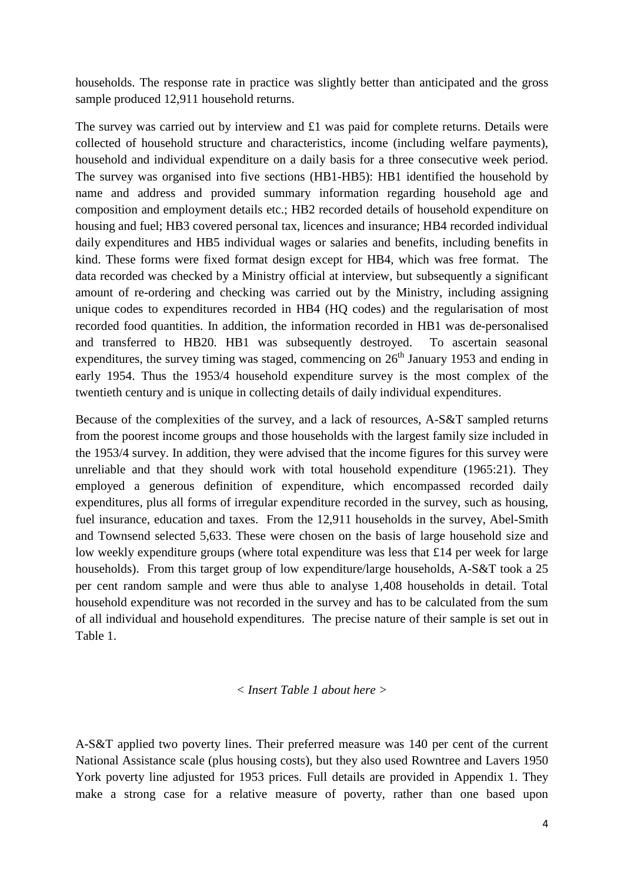households. The response rate in practice was slightly better than anticipated and the gross sample produced 12,911 household returns.

The survey was carried out by interview and £1 was paid for complete returns. Details were collected of household structure and characteristics, income (including welfare payments), household and individual expenditure on a daily basis for a three consecutive week period. The survey was organised into five sections (HB1-HB5): HB1 identified the household by name and address and provided summary information regarding household age and composition and employment details etc.; HB2 recorded details of household expenditure on housing and fuel; HB3 covered personal tax, licences and insurance; HB4 recorded individual daily expenditures and HB5 individual wages or salaries and benefits, including benefits in kind. These forms were fixed format design except for HB4, which was free format. The data recorded was checked by a Ministry official at interview, but subsequently a significant amount of re-ordering and checking was carried out by the Ministry, including assigning unique codes to expenditures recorded in HB4 (HQ codes) and the regularisation of most recorded food quantities. In addition, the information recorded in HB1 was de-personalised and transferred to HB20. HB1 was subsequently destroyed. To ascertain seasonal expenditures, the survey timing was staged, commencing on  $26<sup>th</sup>$  January 1953 and ending in early 1954. Thus the 1953/4 household expenditure survey is the most complex of the twentieth century and is unique in collecting details of daily individual expenditures.

Because of the complexities of the survey, and a lack of resources, A-S&T sampled returns from the poorest income groups and those households with the largest family size included in the 1953/4 survey. In addition, they were advised that the income figures for this survey were unreliable and that they should work with total household expenditure (1965:21). They employed a generous definition of expenditure, which encompassed recorded daily expenditures, plus all forms of irregular expenditure recorded in the survey, such as housing, fuel insurance, education and taxes. From the 12,911 households in the survey, Abel-Smith and Townsend selected 5,633. These were chosen on the basis of large household size and low weekly expenditure groups (where total expenditure was less that £14 per week for large households). From this target group of low expenditure/large households, A-S&T took a 25 per cent random sample and were thus able to analyse 1,408 households in detail. Total household expenditure was not recorded in the survey and has to be calculated from the sum of all individual and household expenditures. The precise nature of their sample is set out in Table 1.

#### *< Insert Table 1 about here >*

A-S&T applied two poverty lines. Their preferred measure was 140 per cent of the current National Assistance scale (plus housing costs), but they also used Rowntree and Lavers 1950 York poverty line adjusted for 1953 prices. Full details are provided in Appendix 1. They make a strong case for a relative measure of poverty, rather than one based upon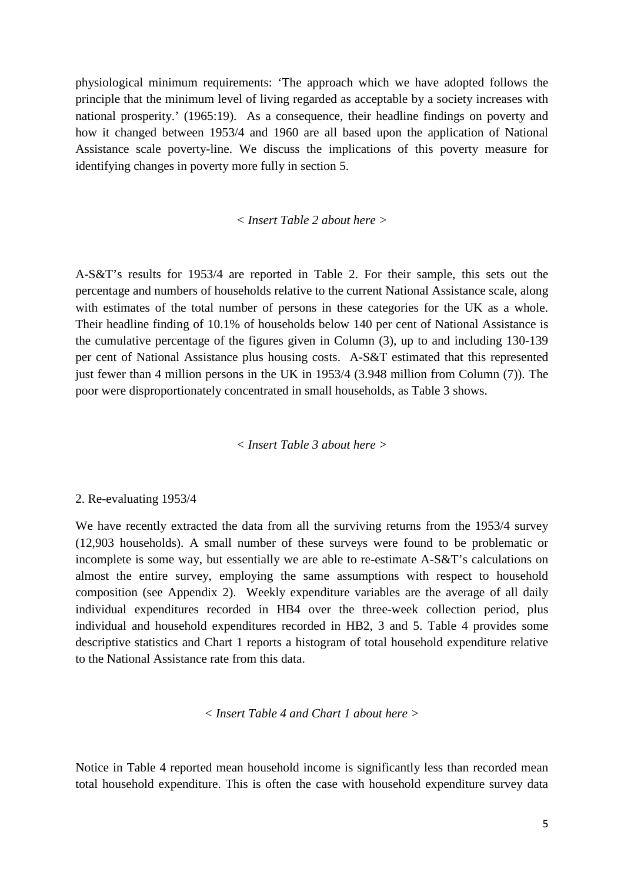physiological minimum requirements: 'The approach which we have adopted follows the principle that the minimum level of living regarded as acceptable by a society increases with national prosperity.' (1965:19). As a consequence, their headline findings on poverty and how it changed between 1953/4 and 1960 are all based upon the application of National Assistance scale poverty-line. We discuss the implications of this poverty measure for identifying changes in poverty more fully in section 5.

#### *< Insert Table 2 about here >*

A-S&T's results for 1953/4 are reported in Table 2. For their sample, this sets out the percentage and numbers of households relative to the current National Assistance scale, along with estimates of the total number of persons in these categories for the UK as a whole. Their headline finding of 10.1% of households below 140 per cent of National Assistance is the cumulative percentage of the figures given in Column (3), up to and including 130-139 per cent of National Assistance plus housing costs. A-S&T estimated that this represented just fewer than 4 million persons in the UK in 1953/4 (3.948 million from Column (7)). The poor were disproportionately concentrated in small households, as Table 3 shows.

*< Insert Table 3 about here >*

#### 2. Re-evaluating 1953/4

We have recently extracted the data from all the surviving returns from the 1953/4 survey (12,903 households). A small number of these surveys were found to be problematic or incomplete is some way, but essentially we are able to re-estimate A-S&T's calculations on almost the entire survey, employing the same assumptions with respect to household composition (see Appendix 2). Weekly expenditure variables are the average of all daily individual expenditures recorded in HB4 over the three-week collection period, plus individual and household expenditures recorded in HB2, 3 and 5. Table 4 provides some descriptive statistics and Chart 1 reports a histogram of total household expenditure relative to the National Assistance rate from this data.

*< Insert Table 4 and Chart 1 about here >*

Notice in Table 4 reported mean household income is significantly less than recorded mean total household expenditure. This is often the case with household expenditure survey data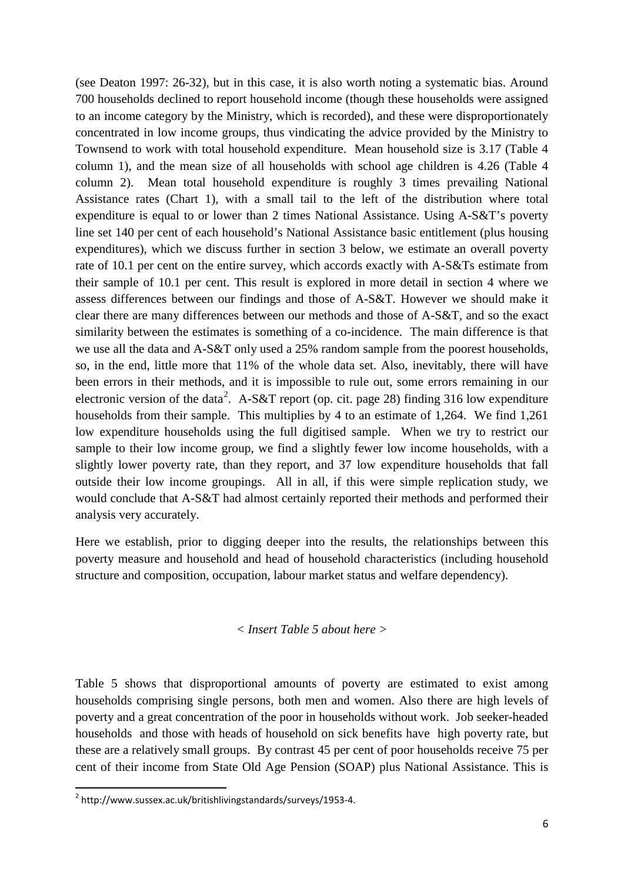(see Deaton 1997: 26-32), but in this case, it is also worth noting a systematic bias. Around 700 households declined to report household income (though these households were assigned to an income category by the Ministry, which is recorded), and these were disproportionately concentrated in low income groups, thus vindicating the advice provided by the Ministry to Townsend to work with total household expenditure. Mean household size is 3.17 (Table 4 column 1), and the mean size of all households with school age children is 4.26 (Table 4 column 2). Mean total household expenditure is roughly 3 times prevailing National Assistance rates (Chart 1), with a small tail to the left of the distribution where total expenditure is equal to or lower than 2 times National Assistance. Using A-S&T's poverty line set 140 per cent of each household's National Assistance basic entitlement (plus housing expenditures), which we discuss further in section 3 below, we estimate an overall poverty rate of 10.1 per cent on the entire survey, which accords exactly with A-S&Ts estimate from their sample of 10.1 per cent. This result is explored in more detail in section 4 where we assess differences between our findings and those of A-S&T. However we should make it clear there are many differences between our methods and those of A-S&T, and so the exact similarity between the estimates is something of a co-incidence. The main difference is that we use all the data and A-S&T only used a 25% random sample from the poorest households, so, in the end, little more that 11% of the whole data set. Also, inevitably, there will have been errors in their methods, and it is impossible to rule out, some errors remaining in our electronic version of the data<sup>[2](#page-3-0)</sup>. A-S&T report (op. cit. page 28) finding 316 low expenditure households from their sample. This multiplies by 4 to an estimate of 1,264. We find 1,261 low expenditure households using the full digitised sample. When we try to restrict our sample to their low income group, we find a slightly fewer low income households, with a slightly lower poverty rate, than they report, and 37 low expenditure households that fall outside their low income groupings. All in all, if this were simple replication study, we would conclude that A-S&T had almost certainly reported their methods and performed their analysis very accurately.

Here we establish, prior to digging deeper into the results, the relationships between this poverty measure and household and head of household characteristics (including household structure and composition, occupation, labour market status and welfare dependency).

#### *< Insert Table 5 about here >*

Table 5 shows that disproportional amounts of poverty are estimated to exist among households comprising single persons, both men and women. Also there are high levels of poverty and a great concentration of the poor in households without work. Job seeker-headed households and those with heads of household on sick benefits have high poverty rate, but these are a relatively small groups. By contrast 45 per cent of poor households receive 75 per cent of their income from State Old Age Pension (SOAP) plus National Assistance. This is

<span id="page-7-0"></span> <sup>2</sup> http://www.sussex.ac.uk/britishlivingstandards/surveys/1953-4.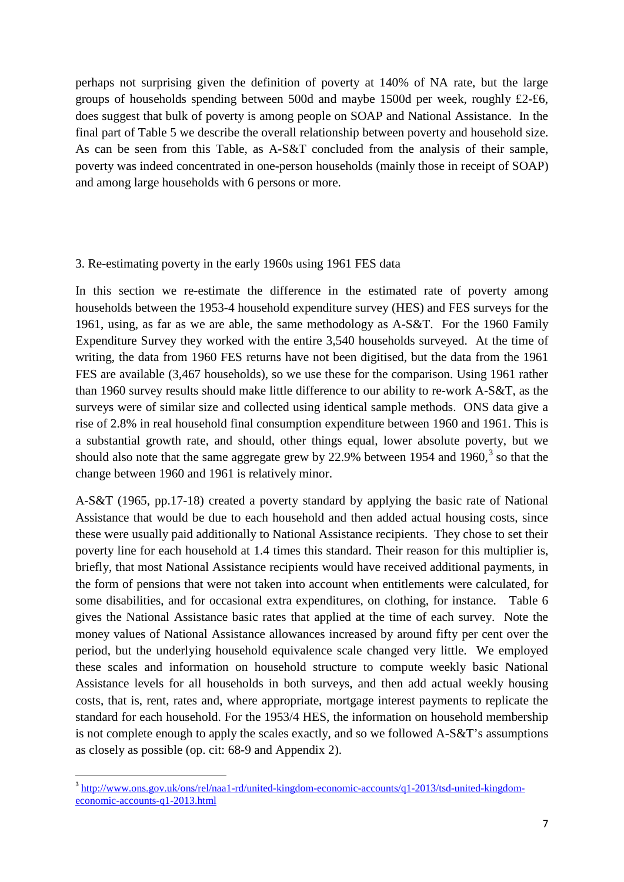perhaps not surprising given the definition of poverty at 140% of NA rate, but the large groups of households spending between 500d and maybe 1500d per week, roughly £2-£6, does suggest that bulk of poverty is among people on SOAP and National Assistance. In the final part of Table 5 we describe the overall relationship between poverty and household size. As can be seen from this Table, as A-S&T concluded from the analysis of their sample, poverty was indeed concentrated in one-person households (mainly those in receipt of SOAP) and among large households with 6 persons or more.

#### 3. Re-estimating poverty in the early 1960s using 1961 FES data

In this section we re-estimate the difference in the estimated rate of poverty among households between the 1953-4 household expenditure survey (HES) and FES surveys for the 1961, using, as far as we are able, the same methodology as A-S&T. For the 1960 Family Expenditure Survey they worked with the entire 3,540 households surveyed. At the time of writing, the data from 1960 FES returns have not been digitised, but the data from the 1961 FES are available (3,467 households), so we use these for the comparison. Using 1961 rather than 1960 survey results should make little difference to our ability to re-work A-S&T, as the surveys were of similar size and collected using identical sample methods. ONS data give a rise of 2.8% in real household final consumption expenditure between 1960 and 1961. This is a substantial growth rate, and should, other things equal, lower absolute poverty, but we should also note that the same aggregate grew by 22.9% between 1954 and 1960.<sup>[3](#page-7-0)</sup> so that the change between 1960 and 1961 is relatively minor.

A-S&T (1965, pp.17-18) created a poverty standard by applying the basic rate of National Assistance that would be due to each household and then added actual housing costs, since these were usually paid additionally to National Assistance recipients. They chose to set their poverty line for each household at 1.4 times this standard. Their reason for this multiplier is, briefly, that most National Assistance recipients would have received additional payments, in the form of pensions that were not taken into account when entitlements were calculated, for some disabilities, and for occasional extra expenditures, on clothing, for instance. Table 6 gives the National Assistance basic rates that applied at the time of each survey. Note the money values of National Assistance allowances increased by around fifty per cent over the period, but the underlying household equivalence scale changed very little. We employed these scales and information on household structure to compute weekly basic National Assistance levels for all households in both surveys, and then add actual weekly housing costs, that is, rent, rates and, where appropriate, mortgage interest payments to replicate the standard for each household. For the 1953/4 HES, the information on household membership is not complete enough to apply the scales exactly, and so we followed A-S&T's assumptions as closely as possible (op. cit: 68-9 and Appendix 2).

<span id="page-8-0"></span><sup>&</sup>lt;sup>3</sup> [http://www.ons.gov.uk/ons/rel/naa1-rd/united-kingdom-economic-accounts/q1-2013/tsd-united-kingdom](http://www.ons.gov.uk/ons/rel/naa1-rd/united-kingdom-economic-accounts/q1-2013/tsd-united-kingdom-economic-accounts-q1-2013.html)[economic-accounts-q1-2013.html](http://www.ons.gov.uk/ons/rel/naa1-rd/united-kingdom-economic-accounts/q1-2013/tsd-united-kingdom-economic-accounts-q1-2013.html)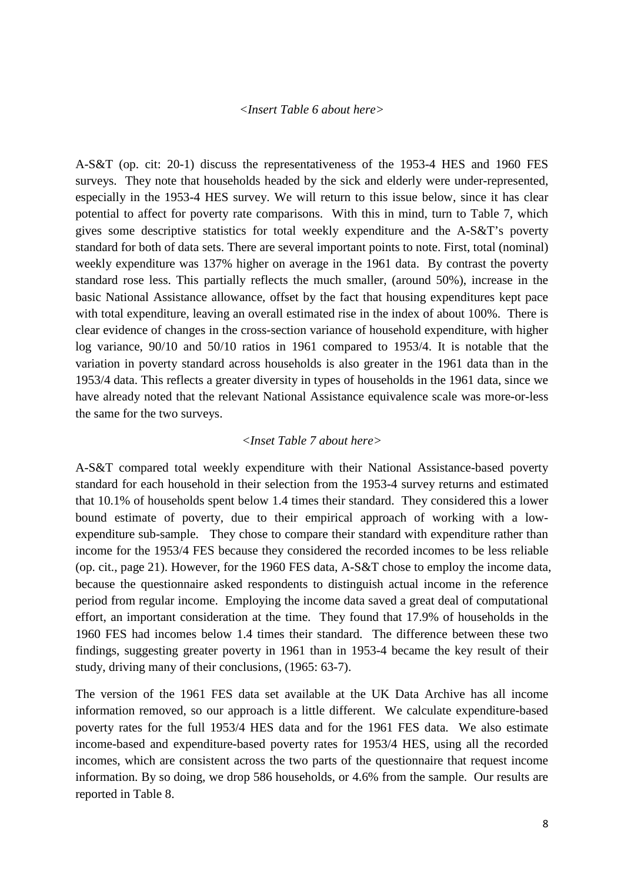#### *<Insert Table 6 about here>*

A-S&T (op. cit: 20-1) discuss the representativeness of the 1953-4 HES and 1960 FES surveys. They note that households headed by the sick and elderly were under-represented, especially in the 1953-4 HES survey. We will return to this issue below, since it has clear potential to affect for poverty rate comparisons. With this in mind, turn to Table 7, which gives some descriptive statistics for total weekly expenditure and the A-S&T's poverty standard for both of data sets. There are several important points to note. First, total (nominal) weekly expenditure was 137% higher on average in the 1961 data. By contrast the poverty standard rose less. This partially reflects the much smaller, (around 50%), increase in the basic National Assistance allowance, offset by the fact that housing expenditures kept pace with total expenditure, leaving an overall estimated rise in the index of about 100%. There is clear evidence of changes in the cross-section variance of household expenditure, with higher log variance, 90/10 and 50/10 ratios in 1961 compared to 1953/4. It is notable that the variation in poverty standard across households is also greater in the 1961 data than in the 1953/4 data. This reflects a greater diversity in types of households in the 1961 data, since we have already noted that the relevant National Assistance equivalence scale was more-or-less the same for the two surveys.

#### *<Inset Table 7 about here>*

A-S&T compared total weekly expenditure with their National Assistance-based poverty standard for each household in their selection from the 1953-4 survey returns and estimated that 10.1% of households spent below 1.4 times their standard. They considered this a lower bound estimate of poverty, due to their empirical approach of working with a lowexpenditure sub-sample. They chose to compare their standard with expenditure rather than income for the 1953/4 FES because they considered the recorded incomes to be less reliable (op. cit., page 21). However, for the 1960 FES data, A-S&T chose to employ the income data, because the questionnaire asked respondents to distinguish actual income in the reference period from regular income. Employing the income data saved a great deal of computational effort, an important consideration at the time. They found that 17.9% of households in the 1960 FES had incomes below 1.4 times their standard. The difference between these two findings, suggesting greater poverty in 1961 than in 1953-4 became the key result of their study, driving many of their conclusions, (1965: 63-7).

The version of the 1961 FES data set available at the UK Data Archive has all income information removed, so our approach is a little different. We calculate expenditure-based poverty rates for the full 1953/4 HES data and for the 1961 FES data. We also estimate income-based and expenditure-based poverty rates for 1953/4 HES, using all the recorded incomes, which are consistent across the two parts of the questionnaire that request income information. By so doing, we drop 586 households, or 4.6% from the sample. Our results are reported in Table 8.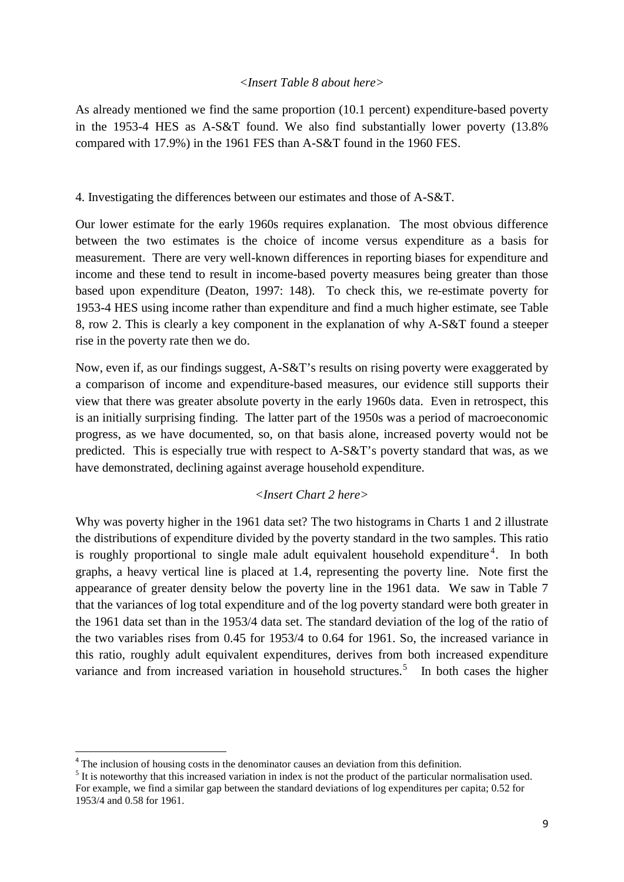#### *<Insert Table 8 about here>*

As already mentioned we find the same proportion (10.1 percent) expenditure-based poverty in the 1953-4 HES as A-S&T found. We also find substantially lower poverty (13.8% compared with 17.9%) in the 1961 FES than A-S&T found in the 1960 FES.

#### 4. Investigating the differences between our estimates and those of A-S&T.

Our lower estimate for the early 1960s requires explanation. The most obvious difference between the two estimates is the choice of income versus expenditure as a basis for measurement. There are very well-known differences in reporting biases for expenditure and income and these tend to result in income-based poverty measures being greater than those based upon expenditure (Deaton, 1997: 148). To check this, we re-estimate poverty for 1953-4 HES using income rather than expenditure and find a much higher estimate, see Table 8, row 2. This is clearly a key component in the explanation of why A-S&T found a steeper rise in the poverty rate then we do.

Now, even if, as our findings suggest, A-S&T's results on rising poverty were exaggerated by a comparison of income and expenditure-based measures, our evidence still supports their view that there was greater absolute poverty in the early 1960s data. Even in retrospect, this is an initially surprising finding. The latter part of the 1950s was a period of macroeconomic progress, as we have documented, so, on that basis alone, increased poverty would not be predicted. This is especially true with respect to A-S&T's poverty standard that was, as we have demonstrated, declining against average household expenditure.

#### *<Insert Chart 2 here>*

<span id="page-10-1"></span>Why was poverty higher in the 1961 data set? The two histograms in Charts 1 and 2 illustrate the distributions of expenditure divided by the poverty standard in the two samples. This ratio is roughly proportional to single male adult equivalent household expenditure<sup>[4](#page-8-0)</sup>. In both graphs, a heavy vertical line is placed at 1.4, representing the poverty line. Note first the appearance of greater density below the poverty line in the 1961 data. We saw in Table 7 that the variances of log total expenditure and of the log poverty standard were both greater in the 1961 data set than in the 1953/4 data set. The standard deviation of the log of the ratio of the two variables rises from 0.45 for 1953/4 to 0.64 for 1961. So, the increased variance in this ratio, roughly adult equivalent expenditures, derives from both increased expenditure variance and from increased variation in household structures.<sup>[5](#page-10-0)</sup> In both cases the higher

<sup>&</sup>lt;sup>4</sup> The inclusion of housing costs in the denominator causes an deviation from this definition.<br><sup>5</sup> It is noteworthy that this increased variation in index is not the product of the particular normalisation used.

<span id="page-10-0"></span>For example, we find a similar gap between the standard deviations of log expenditures per capita; 0.52 for 1953/4 and 0.58 for 1961.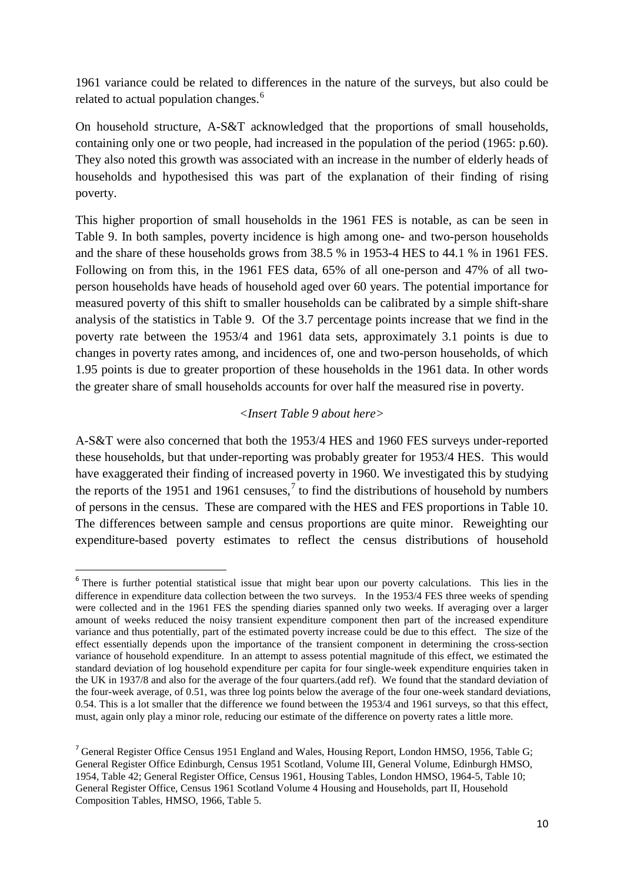1961 variance could be related to differences in the nature of the surveys, but also could be related to actual population changes.<sup>[6](#page-10-1)</sup>

On household structure, A-S&T acknowledged that the proportions of small households, containing only one or two people, had increased in the population of the period (1965: p.60). They also noted this growth was associated with an increase in the number of elderly heads of households and hypothesised this was part of the explanation of their finding of rising poverty.

This higher proportion of small households in the 1961 FES is notable, as can be seen in Table 9. In both samples, poverty incidence is high among one- and two-person households and the share of these households grows from 38.5 % in 1953-4 HES to 44.1 % in 1961 FES. Following on from this, in the 1961 FES data, 65% of all one-person and 47% of all twoperson households have heads of household aged over 60 years. The potential importance for measured poverty of this shift to smaller households can be calibrated by a simple shift-share analysis of the statistics in Table 9. Of the 3.7 percentage points increase that we find in the poverty rate between the 1953/4 and 1961 data sets, approximately 3.1 points is due to changes in poverty rates among, and incidences of, one and two-person households, of which 1.95 points is due to greater proportion of these households in the 1961 data. In other words the greater share of small households accounts for over half the measured rise in poverty.

#### *<Insert Table 9 about here>*

A-S&T were also concerned that both the 1953/4 HES and 1960 FES surveys under-reported these households, but that under-reporting was probably greater for 1953/4 HES. This would have exaggerated their finding of increased poverty in 1960. We investigated this by studying the reports of the 1951 and 1961 censuses,  $\frac{7}{1}$  $\frac{7}{1}$  $\frac{7}{1}$  to find the distributions of household by numbers of persons in the census. These are compared with the HES and FES proportions in Table 10. The differences between sample and census proportions are quite minor. Reweighting our expenditure-based poverty estimates to reflect the census distributions of household

<sup>&</sup>lt;sup>6</sup> There is further potential statistical issue that might bear upon our poverty calculations. This lies in the difference in expenditure data collection between the two surveys. In the 1953/4 FES three weeks of spending were collected and in the 1961 FES the spending diaries spanned only two weeks. If averaging over a larger amount of weeks reduced the noisy transient expenditure component then part of the increased expenditure variance and thus potentially, part of the estimated poverty increase could be due to this effect. The size of the effect essentially depends upon the importance of the transient component in determining the cross-section variance of household expenditure. In an attempt to assess potential magnitude of this effect, we estimated the standard deviation of log household expenditure per capita for four single-week expenditure enquiries taken in the UK in 1937/8 and also for the average of the four quarters.(add ref). We found that the standard deviation of the four-week average, of 0.51, was three log points below the average of the four one-week standard deviations, 0.54. This is a lot smaller that the difference we found between the 1953/4 and 1961 surveys, so that this effect, must, again only play a minor role, reducing our estimate of the difference on poverty rates a little more.

<span id="page-11-0"></span><sup>7</sup> General Register Office Census 1951 England and Wales, Housing Report, London HMSO, 1956, Table G; General Register Office Edinburgh, Census 1951 Scotland, Volume III, General Volume, Edinburgh HMSO, 1954, Table 42; General Register Office, Census 1961, Housing Tables, London HMSO, 1964-5, Table 10; General Register Office, Census 1961 Scotland Volume 4 Housing and Households, part II, Household Composition Tables, HMSO, 1966, Table 5.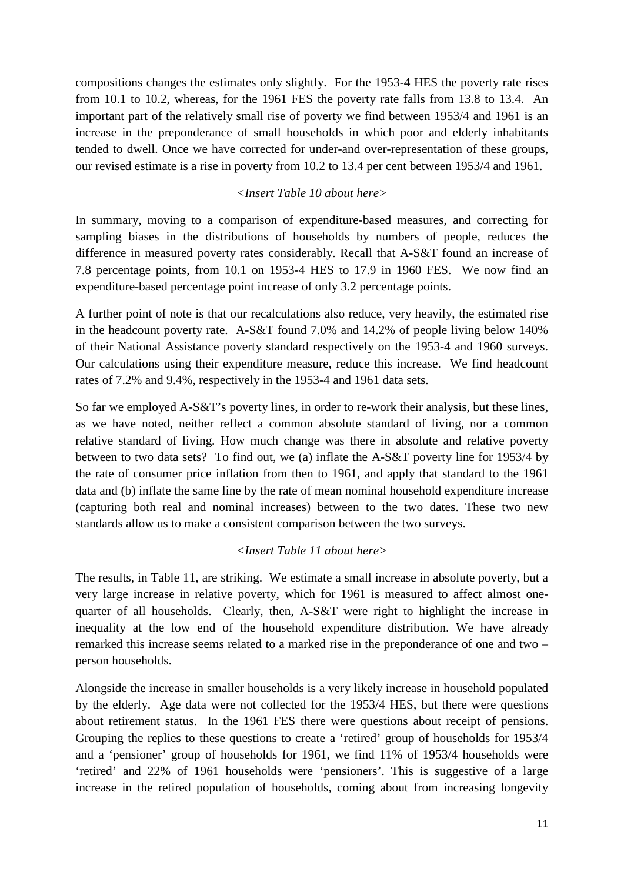compositions changes the estimates only slightly. For the 1953-4 HES the poverty rate rises from 10.1 to 10.2, whereas, for the 1961 FES the poverty rate falls from 13.8 to 13.4. An important part of the relatively small rise of poverty we find between 1953/4 and 1961 is an increase in the preponderance of small households in which poor and elderly inhabitants tended to dwell. Once we have corrected for under-and over-representation of these groups, our revised estimate is a rise in poverty from 10.2 to 13.4 per cent between 1953/4 and 1961.

### *<Insert Table 10 about here>*

In summary, moving to a comparison of expenditure-based measures, and correcting for sampling biases in the distributions of households by numbers of people, reduces the difference in measured poverty rates considerably. Recall that A-S&T found an increase of 7.8 percentage points, from 10.1 on 1953-4 HES to 17.9 in 1960 FES. We now find an expenditure-based percentage point increase of only 3.2 percentage points.

A further point of note is that our recalculations also reduce, very heavily, the estimated rise in the headcount poverty rate. A-S&T found 7.0% and 14.2% of people living below 140% of their National Assistance poverty standard respectively on the 1953-4 and 1960 surveys. Our calculations using their expenditure measure, reduce this increase. We find headcount rates of 7.2% and 9.4%, respectively in the 1953-4 and 1961 data sets.

So far we employed A-S&T's poverty lines, in order to re-work their analysis, but these lines, as we have noted, neither reflect a common absolute standard of living, nor a common relative standard of living. How much change was there in absolute and relative poverty between to two data sets? To find out, we (a) inflate the A-S&T poverty line for 1953/4 by the rate of consumer price inflation from then to 1961, and apply that standard to the 1961 data and (b) inflate the same line by the rate of mean nominal household expenditure increase (capturing both real and nominal increases) between to the two dates. These two new standards allow us to make a consistent comparison between the two surveys.

#### *<Insert Table 11 about here>*

The results, in Table 11, are striking. We estimate a small increase in absolute poverty, but a very large increase in relative poverty, which for 1961 is measured to affect almost onequarter of all households. Clearly, then, A-S&T were right to highlight the increase in inequality at the low end of the household expenditure distribution. We have already remarked this increase seems related to a marked rise in the preponderance of one and two – person households.

Alongside the increase in smaller households is a very likely increase in household populated by the elderly. Age data were not collected for the 1953/4 HES, but there were questions about retirement status. In the 1961 FES there were questions about receipt of pensions. Grouping the replies to these questions to create a 'retired' group of households for 1953/4 and a 'pensioner' group of households for 1961, we find 11% of 1953/4 households were 'retired' and 22% of 1961 households were 'pensioners'. This is suggestive of a large increase in the retired population of households, coming about from increasing longevity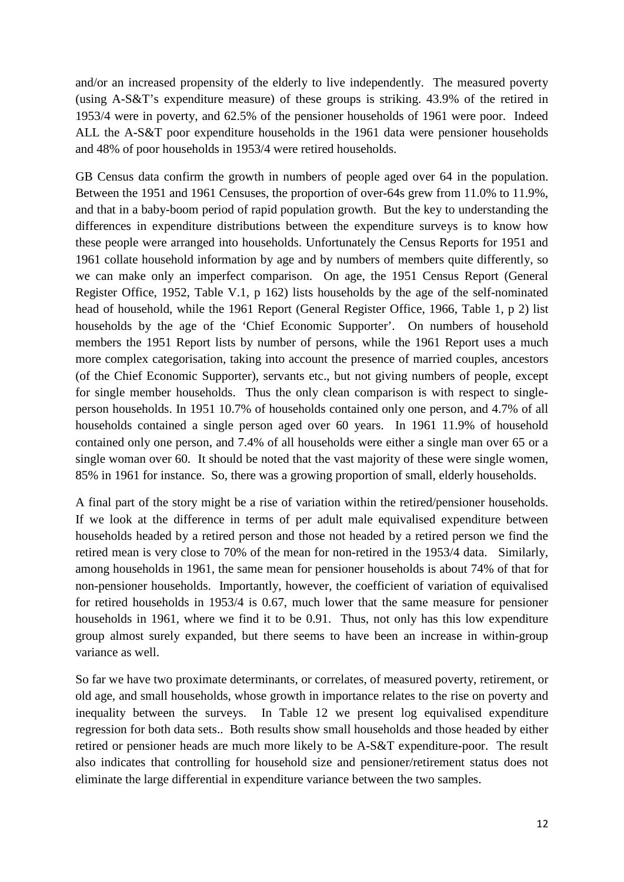and/or an increased propensity of the elderly to live independently. The measured poverty (using A-S&T's expenditure measure) of these groups is striking. 43.9% of the retired in 1953/4 were in poverty, and 62.5% of the pensioner households of 1961 were poor. Indeed ALL the A-S&T poor expenditure households in the 1961 data were pensioner households and 48% of poor households in 1953/4 were retired households.

GB Census data confirm the growth in numbers of people aged over 64 in the population. Between the 1951 and 1961 Censuses, the proportion of over-64s grew from 11.0% to 11.9%, and that in a baby-boom period of rapid population growth. But the key to understanding the differences in expenditure distributions between the expenditure surveys is to know how these people were arranged into households. Unfortunately the Census Reports for 1951 and 1961 collate household information by age and by numbers of members quite differently, so we can make only an imperfect comparison. On age, the 1951 Census Report (General Register Office, 1952, Table V.1, p 162) lists households by the age of the self-nominated head of household, while the 1961 Report (General Register Office, 1966, Table 1, p 2) list households by the age of the 'Chief Economic Supporter'. On numbers of household members the 1951 Report lists by number of persons, while the 1961 Report uses a much more complex categorisation, taking into account the presence of married couples, ancestors (of the Chief Economic Supporter), servants etc., but not giving numbers of people, except for single member households. Thus the only clean comparison is with respect to singleperson households. In 1951 10.7% of households contained only one person, and 4.7% of all households contained a single person aged over 60 years. In 1961 11.9% of household contained only one person, and 7.4% of all households were either a single man over 65 or a single woman over 60. It should be noted that the vast majority of these were single women, 85% in 1961 for instance. So, there was a growing proportion of small, elderly households.

A final part of the story might be a rise of variation within the retired/pensioner households. If we look at the difference in terms of per adult male equivalised expenditure between households headed by a retired person and those not headed by a retired person we find the retired mean is very close to 70% of the mean for non-retired in the 1953/4 data. Similarly, among households in 1961, the same mean for pensioner households is about 74% of that for non-pensioner households. Importantly, however, the coefficient of variation of equivalised for retired households in 1953/4 is 0.67, much lower that the same measure for pensioner households in 1961, where we find it to be 0.91. Thus, not only has this low expenditure group almost surely expanded, but there seems to have been an increase in within-group variance as well.

So far we have two proximate determinants, or correlates, of measured poverty, retirement, or old age, and small households, whose growth in importance relates to the rise on poverty and inequality between the surveys. In Table 12 we present log equivalised expenditure regression for both data sets.. Both results show small households and those headed by either retired or pensioner heads are much more likely to be A-S&T expenditure-poor. The result also indicates that controlling for household size and pensioner/retirement status does not eliminate the large differential in expenditure variance between the two samples.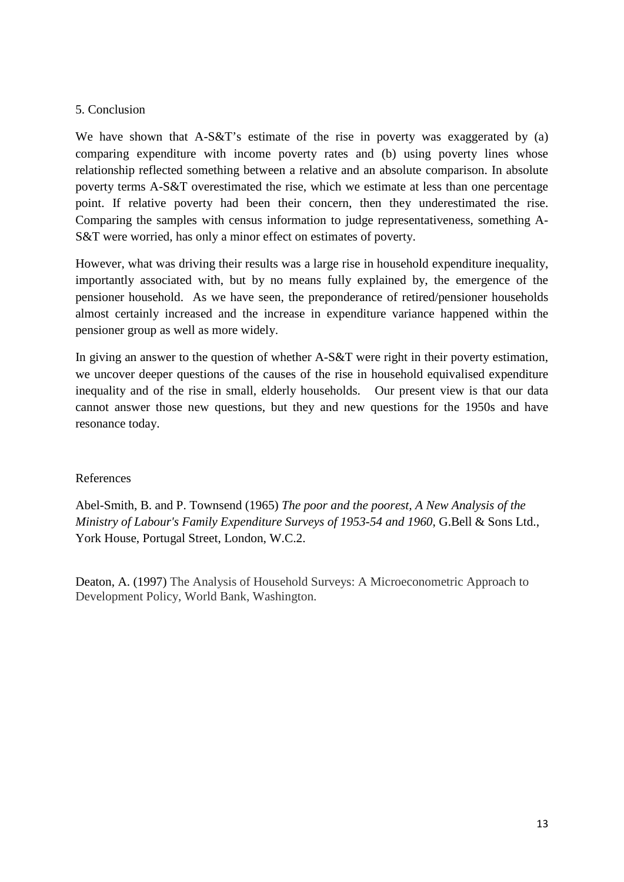#### 5. Conclusion

We have shown that A-S&T's estimate of the rise in poverty was exaggerated by (a) comparing expenditure with income poverty rates and (b) using poverty lines whose relationship reflected something between a relative and an absolute comparison. In absolute poverty terms A-S&T overestimated the rise, which we estimate at less than one percentage point. If relative poverty had been their concern, then they underestimated the rise. Comparing the samples with census information to judge representativeness, something A-S&T were worried, has only a minor effect on estimates of poverty.

However, what was driving their results was a large rise in household expenditure inequality, importantly associated with, but by no means fully explained by, the emergence of the pensioner household. As we have seen, the preponderance of retired/pensioner households almost certainly increased and the increase in expenditure variance happened within the pensioner group as well as more widely.

In giving an answer to the question of whether A-S&T were right in their poverty estimation, we uncover deeper questions of the causes of the rise in household equivalised expenditure inequality and of the rise in small, elderly households. Our present view is that our data cannot answer those new questions, but they and new questions for the 1950s and have resonance today.

#### References

Abel-Smith, B. and P. Townsend (1965) *The poor and the poorest, A New Analysis of the Ministry of Labour's Family Expenditure Surveys of 1953-54 and 1960*, G.Bell & Sons Ltd., York House, Portugal Street, London, W.C.2.

Deaton, A. (1997) The Analysis of Household Surveys: A Microeconometric Approach to Development Policy, World Bank, Washington.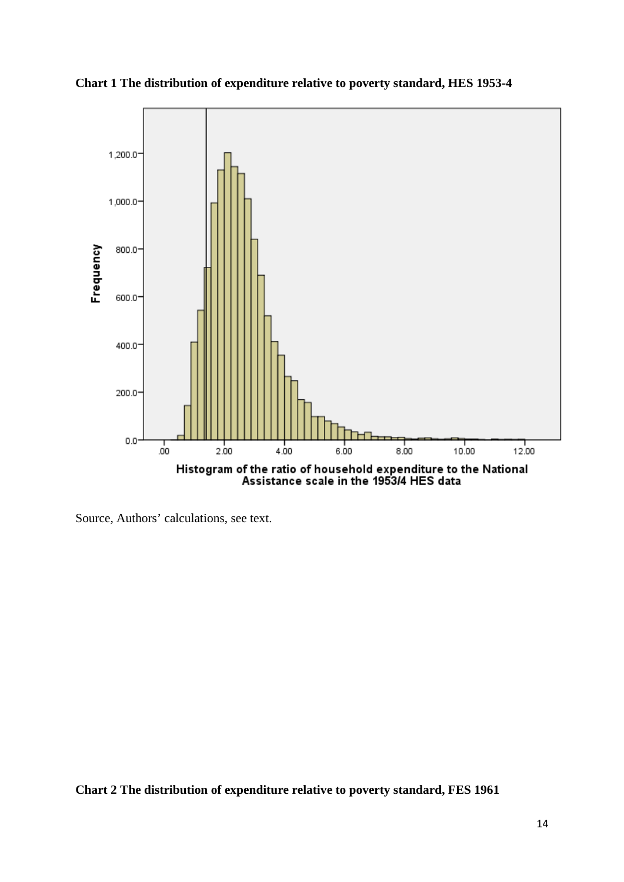

**Chart 1 The distribution of expenditure relative to poverty standard, HES 1953-4**

Source, Authors' calculations, see text.

**Chart 2 The distribution of expenditure relative to poverty standard, FES 1961**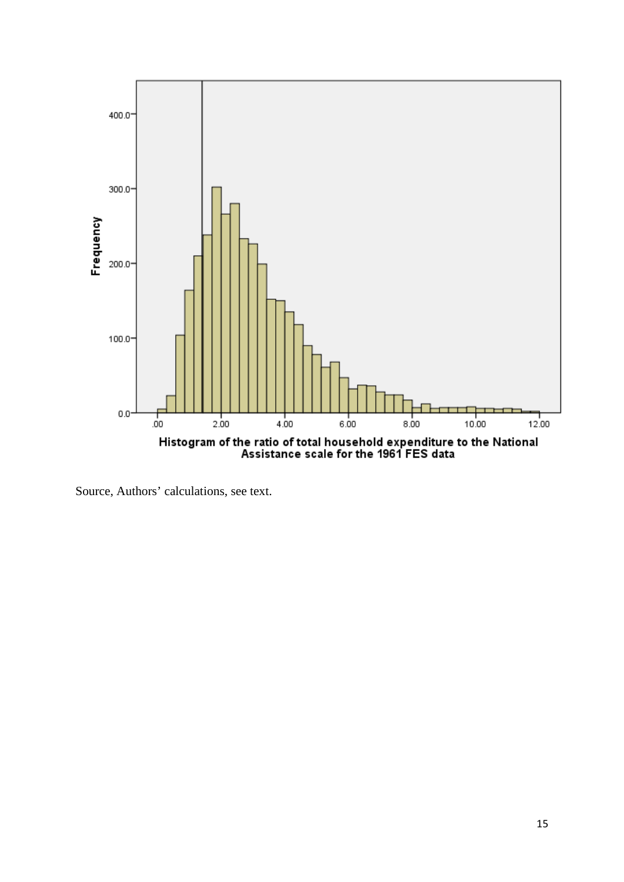

Source, Authors' calculations, see text.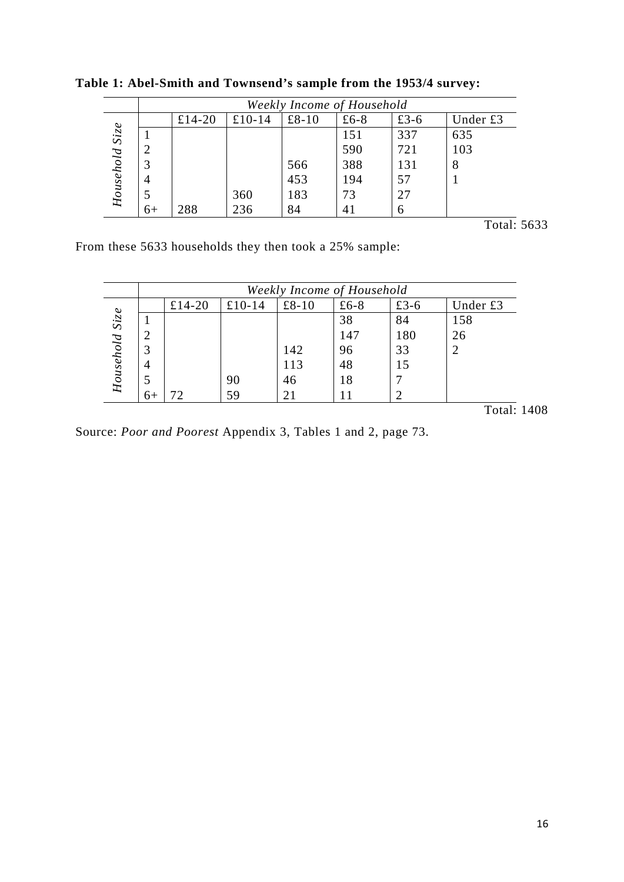|                |      | Weekly Income of Household |        |       |      |      |          |  |
|----------------|------|----------------------------|--------|-------|------|------|----------|--|
|                |      | £14-20                     | £10-14 | £8-10 | £6-8 | £3-6 | Under £3 |  |
|                |      |                            |        |       | 151  | 337  | 635      |  |
|                |      |                            |        |       | 590  | 721  | 103      |  |
|                | 3    |                            |        | 566   | 388  | 131  |          |  |
|                | 4    |                            |        | 453   | 194  | 57   |          |  |
| Household Size |      |                            | 360    | 183   | 73   | 27   |          |  |
|                | $6+$ | 288                        | 236    | 84    | 41   | h    |          |  |

**Table 1: Abel-Smith and Townsend's sample from the 1953/4 survey:**

Total: 5633

From these 5633 households they then took a 25% sample:

|                |      | Weekly Income of Household |        |       |      |      |          |  |  |
|----------------|------|----------------------------|--------|-------|------|------|----------|--|--|
|                |      | £14-20                     | £10-14 | £8-10 | £6-8 | £3-6 | Under £3 |  |  |
|                |      |                            |        |       | 38   | 84   | 158      |  |  |
|                |      |                            |        |       | 147  | 180  | 26       |  |  |
|                |      |                            |        | 142   | 96   | 33   |          |  |  |
|                | 4    |                            |        | 113   | 48   |      |          |  |  |
| Household Size |      |                            | 90     | 46    | 18   |      |          |  |  |
|                | $6+$ |                            | 59     |       |      |      |          |  |  |

Total: 1408

Source: *Poor and Poorest* Appendix 3, Tables 1 and 2, page 73.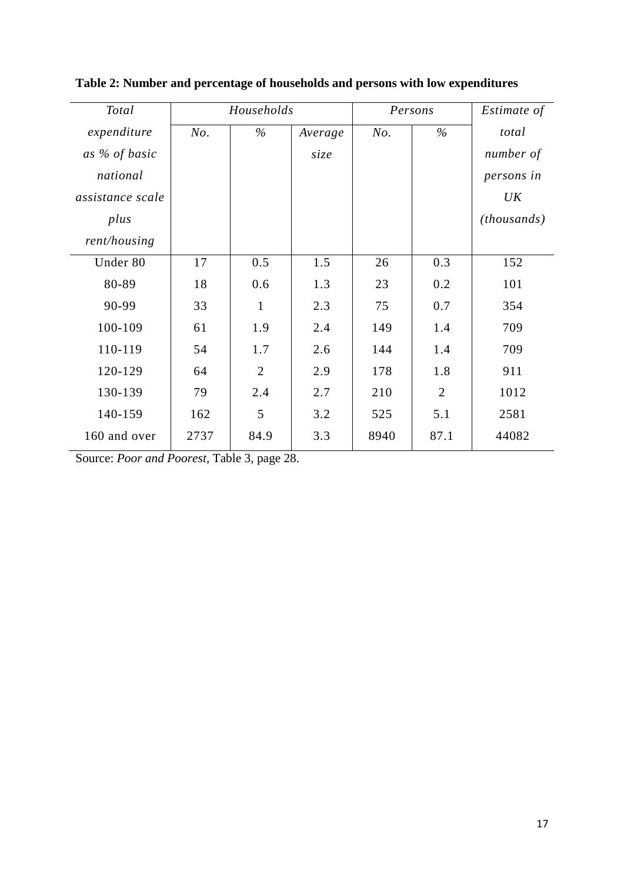| Total            |      | Households     |         | Persons |                | Estimate of |
|------------------|------|----------------|---------|---------|----------------|-------------|
| expenditure      | No.  | $\%$           | Average | No.     | $\%$           | total       |
| as % of basic    |      |                | size    |         |                | number of   |
| national         |      |                |         |         |                | persons in  |
| assistance scale |      |                |         |         |                | UK          |
| plus             |      |                |         |         |                | (housands)  |
| rent/housing     |      |                |         |         |                |             |
| Under 80         | 17   | 0.5            | 1.5     | 26      | 0.3            | 152         |
| 80-89            | 18   | 0.6            | 1.3     | 23      | 0.2            | 101         |
| 90-99            | 33   | $\mathbf{1}$   | 2.3     | 75      | 0.7            | 354         |
| 100-109          | 61   | 1.9            | 2.4     | 149     | 1.4            | 709         |
| 110-119          | 54   | 1.7            | 2.6     | 144     | 1.4            | 709         |
| 120-129          | 64   | $\overline{2}$ | 2.9     | 178     | 1.8            | 911         |
| 130-139          | 79   | 2.4            | 2.7     | 210     | $\overline{2}$ | 1012        |
| 140-159          | 162  | 5              | 3.2     | 525     | 5.1            | 2581        |
| 160 and over     | 2737 | 84.9           | 3.3     | 8940    | 87.1           | 44082       |

**Table 2: Number and percentage of households and persons with low expenditures**

Source: *Poor and Poorest*, Table 3, page 28.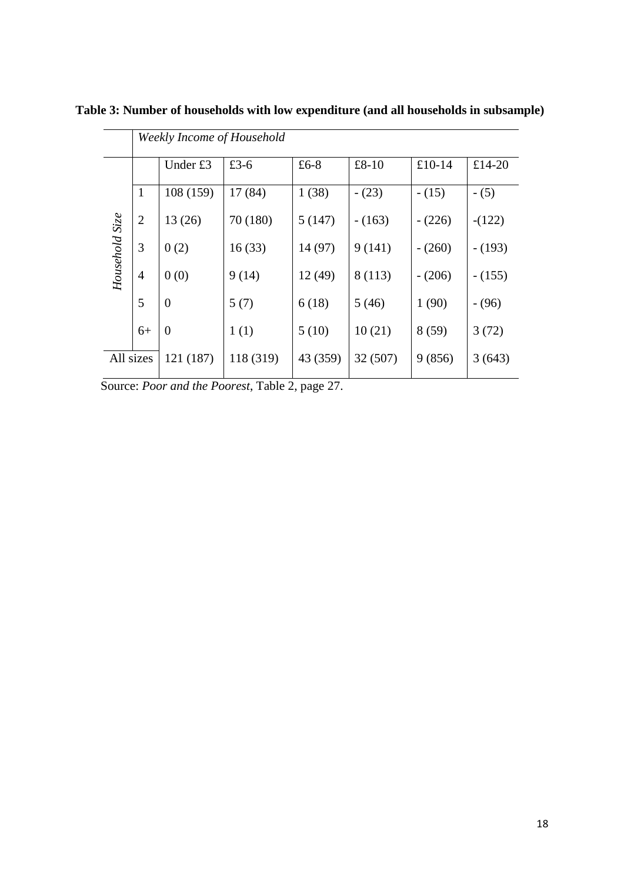|                |                | Weekly Income of Household |           |          |          |          |          |
|----------------|----------------|----------------------------|-----------|----------|----------|----------|----------|
|                |                | Under £3                   | £3-6      | £6-8     | $£8-10$  | $£10-14$ | £14-20   |
|                | $\mathbf{1}$   | 108 (159)                  | 17 (84)   | 1(38)    | $-(23)$  | $- (15)$ | $- (5)$  |
|                | $\overline{2}$ | 13(26)                     | 70 (180)  | 5(147)   | $-(163)$ | $-(226)$ | $-(122)$ |
|                | 3              | 0(2)                       | 16(33)    | 14 (97)  | 9(141)   | $-(260)$ | $-(193)$ |
| Household Size | $\overline{4}$ | 0(0)                       | 9(14)     | 12(49)   | 8 (113)  | $-(206)$ | $-(155)$ |
|                | 5              | $\overline{0}$             | 5(7)      | 6(18)    | 5(46)    | 1(90)    | $- (96)$ |
|                | $6+$           | $\overline{0}$             | 1(1)      | 5(10)    | 10(21)   | 8(59)    | 3(72)    |
| All sizes      |                | 121 (187)                  | 118 (319) | 43 (359) | 32 (507) | 9(856)   | 3(643)   |

**Table 3: Number of households with low expenditure (and all households in subsample)**

Source: *Poor and the Poorest*, Table 2, page 27.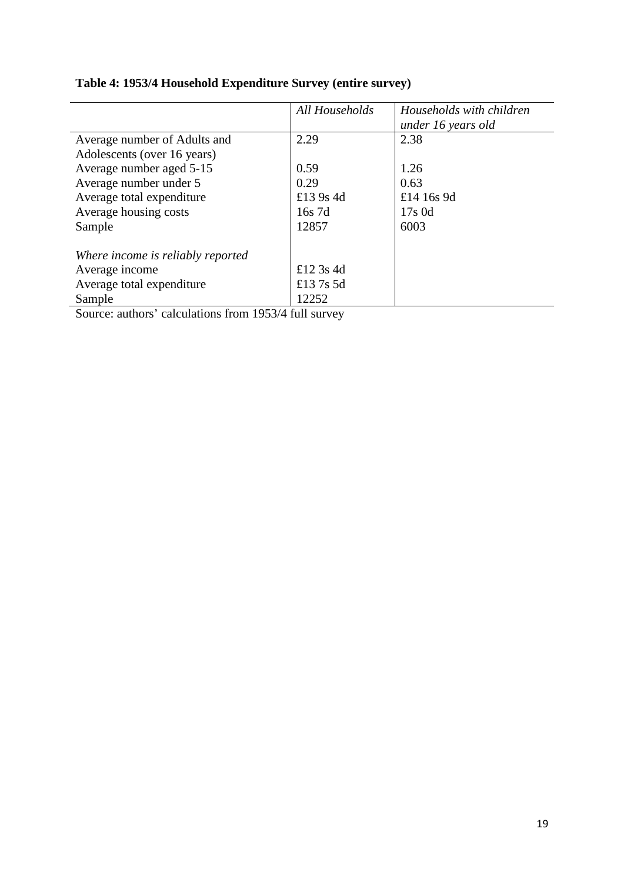|                                   | All Households | Households with children<br>under 16 years old |
|-----------------------------------|----------------|------------------------------------------------|
| Average number of Adults and      | 2.29           | 2.38                                           |
| Adolescents (over 16 years)       |                |                                                |
| Average number aged 5-15          | 0.59           | 1.26                                           |
| Average number under 5            | 0.29           | 0.63                                           |
| Average total expenditure         | £13 9s 4d      | £14 16s 9d                                     |
| Average housing costs             | 16s 7d         | $17s$ 0d                                       |
| Sample                            | 12857          | 6003                                           |
| Where income is reliably reported |                |                                                |
| Average income                    | £12 3s 4d      |                                                |
| Average total expenditure         | £137s 5d       |                                                |
| Sample                            | 12252          |                                                |

# **Table 4: 1953/4 Household Expenditure Survey (entire survey)**

Source: authors' calculations from 1953/4 full survey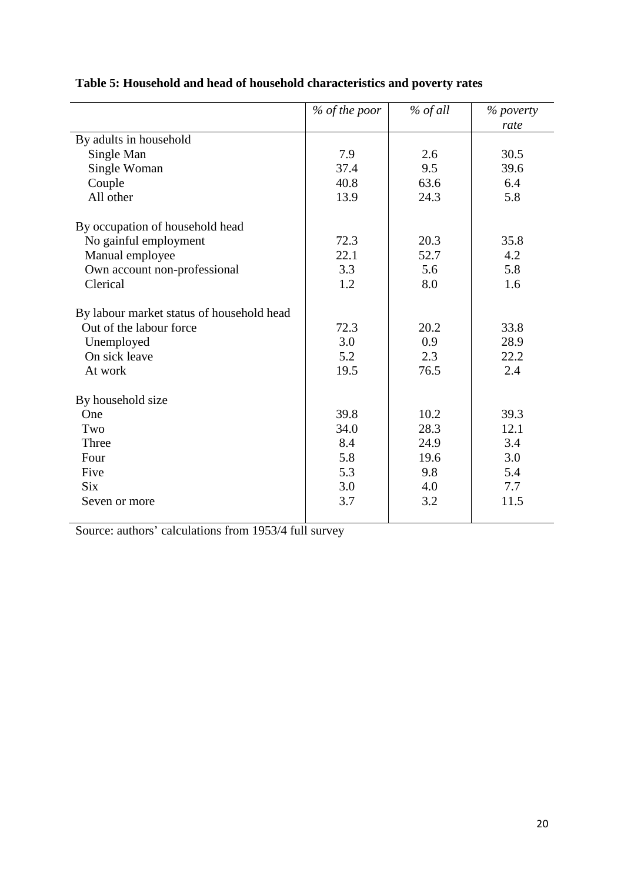| 7.9<br>37.4<br>40.8<br>13.9 | 2.6<br>9.5<br>63.6<br>24.3 | rate<br>30.5<br>39.6<br>6.4<br>5.8 |
|-----------------------------|----------------------------|------------------------------------|
|                             |                            |                                    |
|                             |                            |                                    |
|                             |                            |                                    |
|                             |                            |                                    |
|                             |                            |                                    |
|                             |                            |                                    |
|                             |                            |                                    |
|                             | 20.3                       | 35.8                               |
| 22.1                        | 52.7                       | 4.2                                |
| 3.3                         | 5.6                        | 5.8                                |
| 1.2                         | 8.0                        | 1.6                                |
|                             |                            |                                    |
| 72.3                        | 20.2                       | 33.8                               |
| 3.0                         | 0.9                        | 28.9                               |
| 5.2                         | 2.3                        | 22.2                               |
| 19.5                        | 76.5                       | 2.4                                |
|                             |                            |                                    |
| 39.8                        | 10.2                       | 39.3                               |
| 34.0                        | 28.3                       | 12.1                               |
| 8.4                         | 24.9                       | 3.4                                |
| 5.8                         | 19.6                       | 3.0                                |
| 5.3                         | 9.8                        | 5.4                                |
| 3.0                         | 4.0                        | 7.7                                |
| 3.7                         | 3.2                        | 11.5                               |
|                             | 72.3                       |                                    |

# **Table 5: Household and head of household characteristics and poverty rates**

Source: authors' calculations from 1953/4 full survey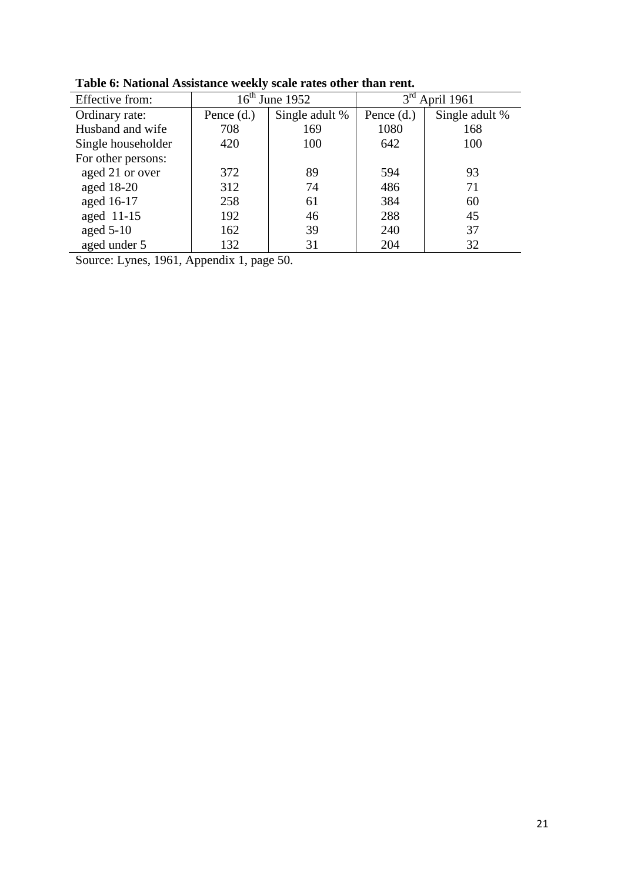| Effective from:    |              | $16th$ June 1952 | 3 <sup>rd</sup> | April 1961     |
|--------------------|--------------|------------------|-----------------|----------------|
| Ordinary rate:     | Pence $(d.)$ | Single adult %   | Pence $(d.)$    | Single adult % |
| Husband and wife   | 708          | 169              | 1080            | 168            |
| Single householder | 420          | 100              | 642             | 100            |
| For other persons: |              |                  |                 |                |
| aged 21 or over    | 372          | 89               | 594             | 93             |
| aged 18-20         | 312          | 74               | 486             | 71             |
| aged 16-17         | 258          | 61               | 384             | 60             |
| aged 11-15         | 192          | 46               | 288             | 45             |
| aged $5-10$        | 162          | 39               | 240             | 37             |
| aged under 5       | 132          | 31               | 204             | 32             |

**Table 6: National Assistance weekly scale rates other than rent.**

Source: Lynes, 1961, Appendix 1, page 50.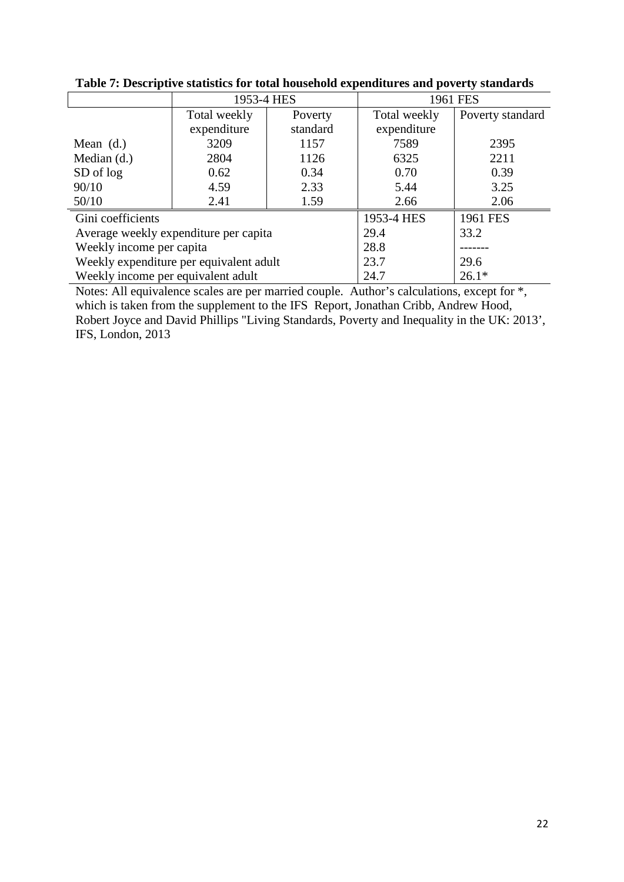|                                         | 1953-4 HES   |          | 1961 FES     |                  |
|-----------------------------------------|--------------|----------|--------------|------------------|
|                                         | Total weekly | Poverty  | Total weekly | Poverty standard |
|                                         | expenditure  | standard | expenditure  |                  |
| Mean $(d.)$                             | 3209         | 1157     | 7589         | 2395             |
| Median $(d.)$                           | 2804         | 1126     | 6325         | 2211             |
| SD of log                               | 0.62         | 0.34     | 0.70         | 0.39             |
| 90/10                                   | 4.59         | 2.33     | 5.44         | 3.25             |
| 50/10                                   | 2.41         | 1.59     | 2.66         | 2.06             |
| Gini coefficients                       |              |          | 1953-4 HES   | 1961 FES         |
| Average weekly expenditure per capita   |              |          | 29.4         | 33.2             |
| Weekly income per capita                |              | 28.8     |              |                  |
| Weekly expenditure per equivalent adult |              | 23.7     | 29.6         |                  |
| Weekly income per equivalent adult      |              |          | 24.7         | $26.1*$          |

Notes: All equivalence scales are per married couple. Author's calculations, except for \*, which is taken from the supplement to the IFS Report, Jonathan Cribb, Andrew Hood, Robert Joyce and David Phillips "Living Standards, Poverty and Inequality in the UK: 2013', IFS, London, 2013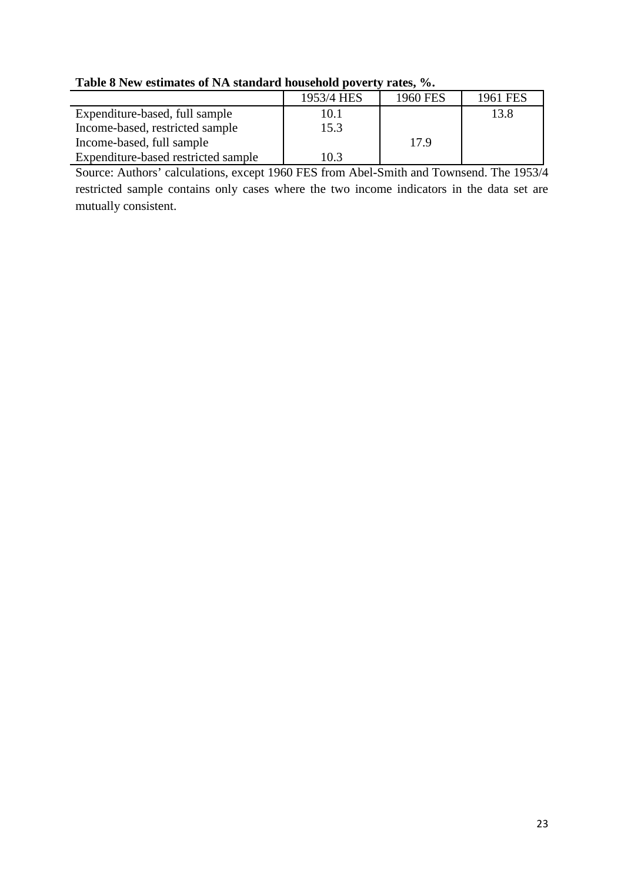| <b>Table of New estimates of INA standard household poverty rates, 70.</b> |            |          |          |  |  |  |
|----------------------------------------------------------------------------|------------|----------|----------|--|--|--|
|                                                                            | 1953/4 HES | 1960 FES | 1961 FES |  |  |  |
| Expenditure-based, full sample                                             | 10.1       |          | 13.8     |  |  |  |
| Income-based, restricted sample                                            | 15.3       |          |          |  |  |  |
| Income-based, full sample                                                  |            | 17.9     |          |  |  |  |
| Expenditure-based restricted sample                                        | 10.3       |          |          |  |  |  |

**Table 8 New estimates of NA standard household poverty rates, %.**

Source: Authors' calculations, except 1960 FES from Abel-Smith and Townsend. The 1953/4 restricted sample contains only cases where the two income indicators in the data set are mutually consistent.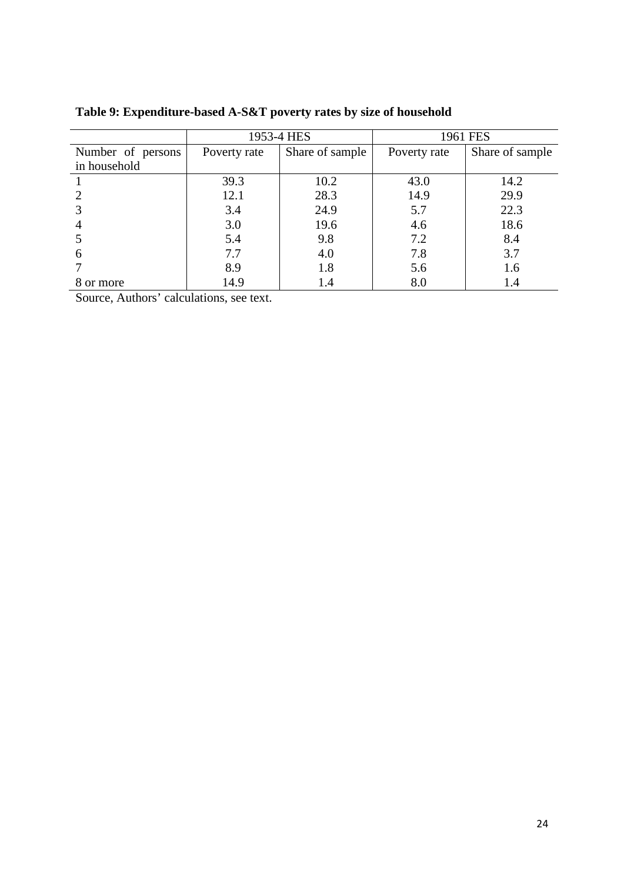|                   | 1953-4 HES   |                 | 1961 FES     |                 |
|-------------------|--------------|-----------------|--------------|-----------------|
| Number of persons | Poverty rate | Share of sample | Poverty rate | Share of sample |
| in household      |              |                 |              |                 |
|                   | 39.3         | 10.2            | 43.0         | 14.2            |
|                   | 12.1         | 28.3            | 14.9         | 29.9            |
|                   | 3.4          | 24.9            | 5.7          | 22.3            |
|                   | 3.0          | 19.6            | 4.6          | 18.6            |
|                   | 5.4          | 9.8             | 7.2          | 8.4             |
| 6                 | 7.7          | 4.0             | 7.8          | 3.7             |
|                   | 8.9          | 1.8             | 5.6          | 1.6             |
| 8 or more         | 14.9         | 1.4             | 8.0          | 1.4             |

**Table 9: Expenditure-based A-S&T poverty rates by size of household**

Source, Authors' calculations, see text.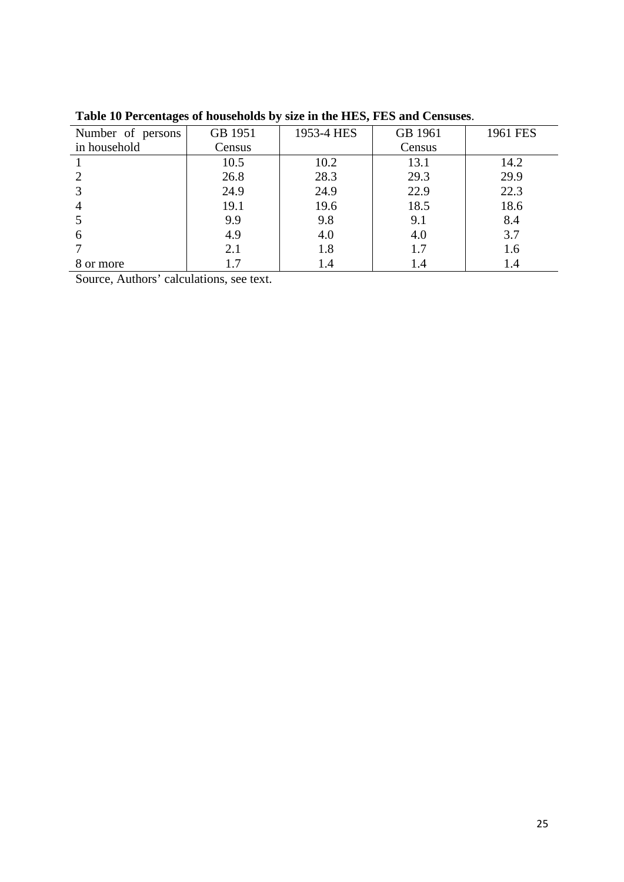| Number of persons | GB 1951 | 1953-4 HES | GB 1961 | 1961 FES |
|-------------------|---------|------------|---------|----------|
| in household      | Census  |            | Census  |          |
|                   | 10.5    | 10.2       | 13.1    | 14.2     |
|                   | 26.8    | 28.3       | 29.3    | 29.9     |
|                   | 24.9    | 24.9       | 22.9    | 22.3     |
|                   | 19.1    | 19.6       | 18.5    | 18.6     |
|                   | 9.9     | 9.8        | 9.1     | 8.4      |
| 6                 | 4.9     | 4.0        | 4.0     | 3.7      |
|                   | 2.1     | 1.8        | 1.7     | 1.6      |
| 8 or more         |         | 1.4        | l .4    | 1.4      |

**Table 10 Percentages of households by size in the HES, FES and Censuses**.

Source, Authors' calculations, see text.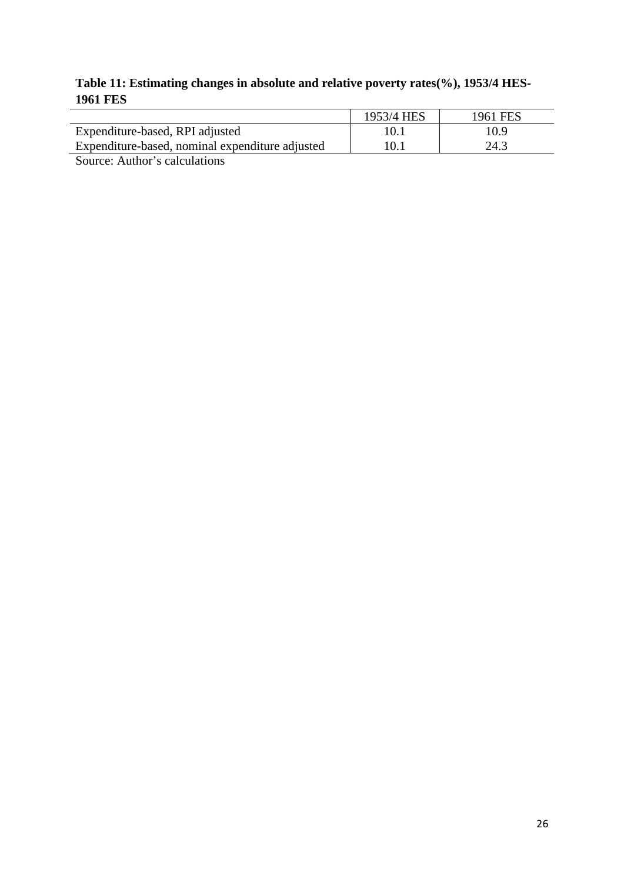### **Table 11: Estimating changes in absolute and relative poverty rates(%), 1953/4 HES-1961 FES**

|                                                 | 1953/4 HES | 1961 FES |
|-------------------------------------------------|------------|----------|
| Expenditure-based, RPI adjusted                 |            | 10.9     |
| Expenditure-based, nominal expenditure adjusted |            | 24.3     |
|                                                 |            |          |

Source: Author's calculations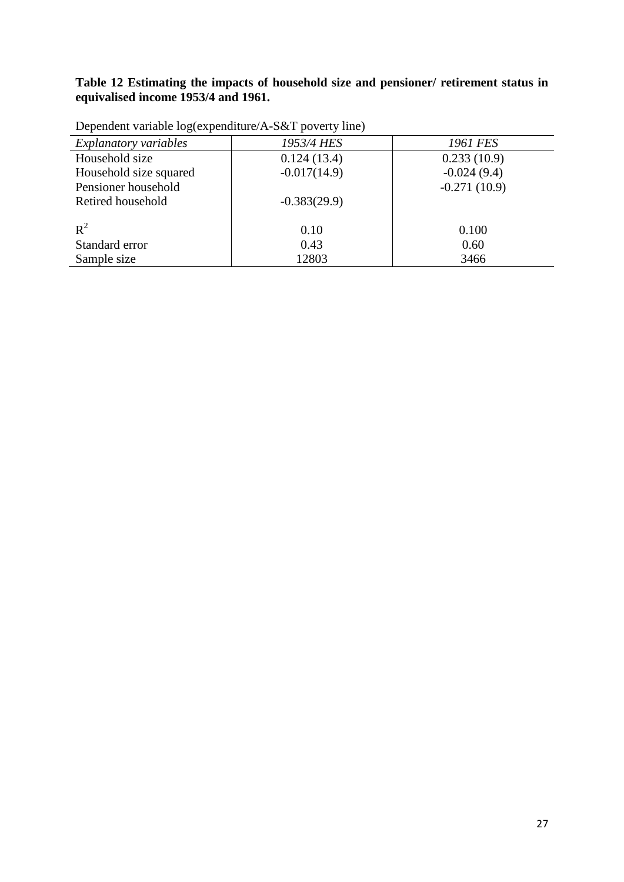#### **Table 12 Estimating the impacts of household size and pensioner/ retirement status in equivalised income 1953/4 and 1961.**

| Explanatory variables  | 1953/4 HES     | 1961 FES       |
|------------------------|----------------|----------------|
| Household size         | 0.124(13.4)    | 0.233(10.9)    |
| Household size squared | $-0.017(14.9)$ | $-0.024(9.4)$  |
| Pensioner household    |                | $-0.271(10.9)$ |
| Retired household      | $-0.383(29.9)$ |                |
|                        |                |                |
| $R^2$                  | 0.10           | 0.100          |
| Standard error         | 0.43           | 0.60           |
| Sample size            | 12803          | 3466           |

Dependent variable log(expenditure/A-S&T poverty line)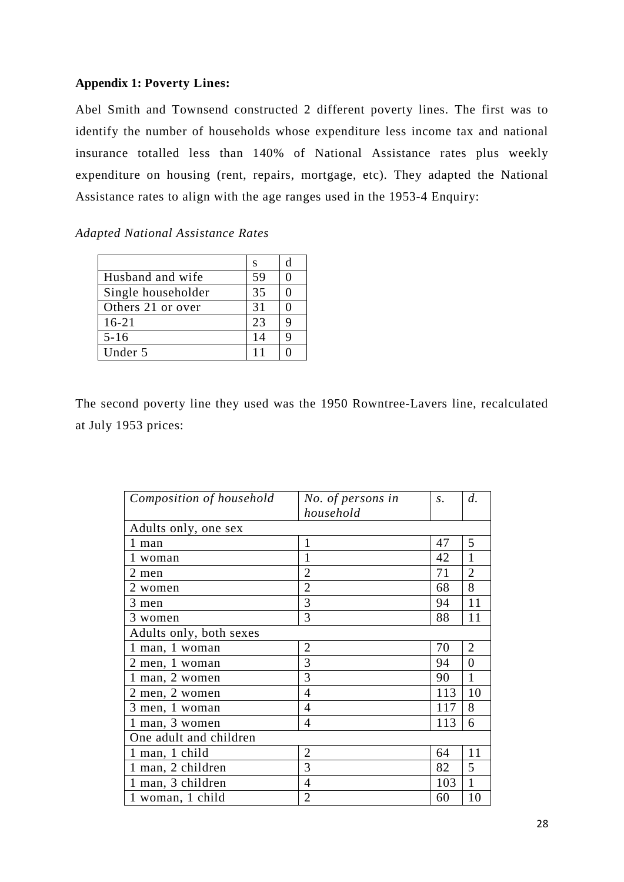### **Appendix 1: Poverty Lines:**

Abel Smith and Townsend constructed 2 different poverty lines. The first was to identify the number of households whose expenditure less income tax and national insurance totalled less than 140% of National Assistance rates plus weekly expenditure on housing (rent, repairs, mortgage, etc). They adapted the National Assistance rates to align with the age ranges used in the 1953-4 Enquiry:

#### *Adapted National Assistance Rates*

|                    | S  | d |
|--------------------|----|---|
| Husband and wife   | 59 |   |
| Single householder | 35 |   |
| Others 21 or over  | 31 |   |
| $16 - 21$          | 23 | q |
| $5 - 16$           | 14 |   |
| Under 5            | 11 |   |

The second poverty line they used was the 1950 Rowntree-Lavers line, recalculated at July 1953 prices:

| Composition of household | No. of persons in | S.  | d.             |
|--------------------------|-------------------|-----|----------------|
|                          | household         |     |                |
| Adults only, one sex     |                   |     |                |
| 1 man                    | 1                 | 47  | 5              |
| 1 woman                  | 1                 | 42  | $\mathbf{1}$   |
| 2 men                    | $\overline{2}$    | 71  | $\overline{2}$ |
| 2 women                  | $\overline{2}$    | 68  | 8              |
| 3 men                    | 3                 | 94  | 11             |
| 3 women                  | 3                 | 88  | 11             |
| Adults only, both sexes  |                   |     |                |
| 1 man, 1 woman           | $\overline{2}$    | 70  | $\overline{2}$ |
| 2 men, 1 woman           | 3                 | 94  | 0              |
| 1 man, 2 women           | 3                 | 90  | 1              |
| 2 men, 2 women           | 4                 | 113 | 10             |
| 3 men, 1 woman           | 4                 | 117 | 8              |
| 1 man, 3 women           | 4                 | 113 | 6              |
| One adult and children   |                   |     |                |
| 1 man, 1 child           | $\overline{2}$    | 64  | 11             |
| 1 man, 2 children        | 3                 | 82  | 5              |
| 1 man, 3 children        | 4                 | 103 | 1              |
| 1 woman, 1 child         | $\overline{2}$    | 60  | 10             |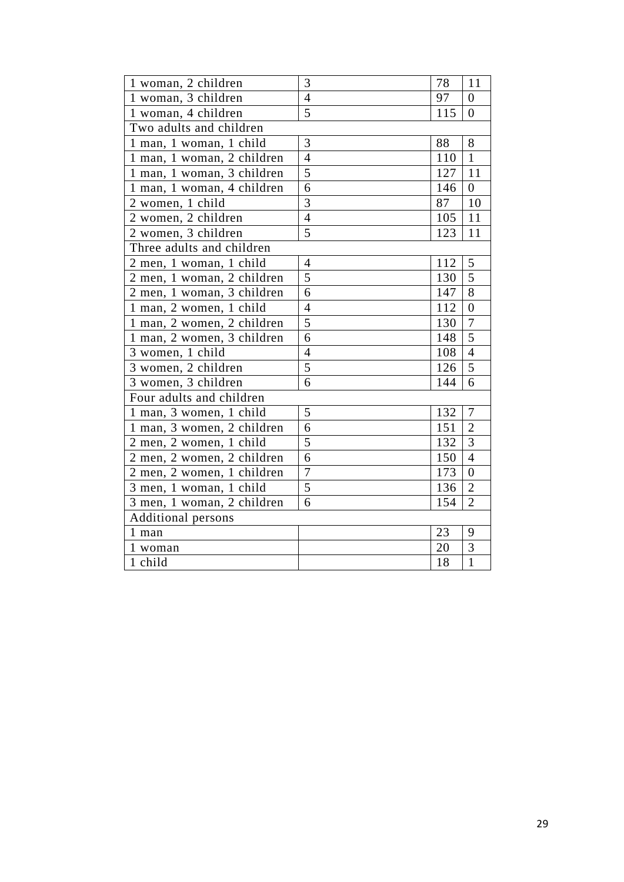|                                 | 3              |     |                |
|---------------------------------|----------------|-----|----------------|
| 1 woman, 2 children             |                | 78  | 11             |
| $\overline{1$ woman, 3 children | $\overline{4}$ | 97  | $\overline{0}$ |
| 1 woman, 4 children             | 5              | 115 | $\overline{0}$ |
| Two adults and children         |                |     |                |
| 1 man, 1 woman, 1 child         | 3              | 88  | 8              |
| 1 man, 1 woman, 2 children      | $\overline{4}$ | 110 | $\mathbf{1}$   |
| 1 man, 1 woman, 3 children      | 5              | 127 | 11             |
| 1 man, 1 woman, 4 children      | 6              | 146 | $\theta$       |
| 2 women, 1 child                | 3              | 87  | 10             |
| 2 women, 2 children             | $\overline{4}$ | 105 | 11             |
| 2 women, 3 children             | 5              | 123 | 11             |
| Three adults and children       |                |     |                |
| 2 men, 1 woman, 1 child         | 4              | 112 | 5              |
| 2 men, 1 woman, 2 children      | 5              | 130 | $\overline{5}$ |
| 2 men, 1 woman, 3 children      | 6              | 147 | 8              |
| 1 man, 2 women, 1 child         | $\overline{4}$ | 112 | $\overline{0}$ |
| 1 man, 2 women, 2 children      | 5              | 130 | 7              |
| 1 man, 2 women, 3 children      | 6              | 148 | 5              |
| 3 women, 1 child                | $\overline{4}$ | 108 | $\overline{4}$ |
| 3 women, 2 children             | 5              | 126 | 5              |
| 3 women, 3 children             | 6              | 144 | 6              |
| Four adults and children        |                |     |                |
| 1 man, 3 women, 1 child         | 5              | 132 | 7              |
| 1 man, 3 women, 2 children      | 6              | 151 | $\overline{2}$ |
| 2 men, 2 women, 1 child         | 5              | 132 | 3              |
| 2 men, 2 women, 2 children      | 6              | 150 | $\overline{4}$ |
| 2 men, 2 women, 1 children      | $\overline{7}$ | 173 | $\overline{0}$ |
| 3 men, 1 woman, 1 child         | 5              | 136 | $\overline{2}$ |
| 3 men, 1 woman, 2 children      | 6              | 154 | $\overline{2}$ |
| <b>Additional persons</b>       |                |     |                |
| 1 man                           |                | 23  | 9              |
| 1 woman                         |                | 20  | $\overline{3}$ |
| 1 child                         |                | 18  | $\mathbf{1}$   |